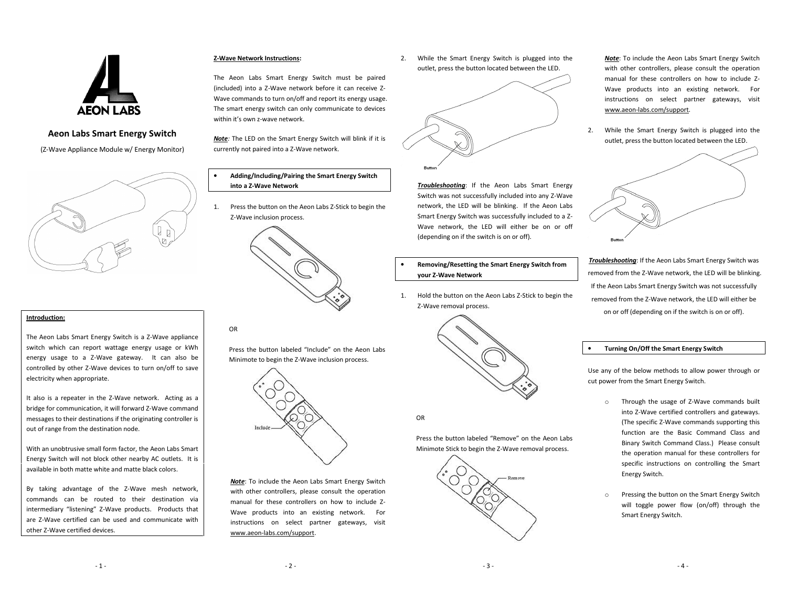

# Aeon Labs Smart Energy Switch

(Z-Wave Appliance Module w/ Energy Monitor)



# Introduction:

The Aeon Labs Smart Energy Switch is a Z-Wave appliance switch which can report wattage energy usage or kWh energy usage to a Z-Wave gateway. It can also be controlled by other Z-Wave devices to turn on/off to save electricity when appropriate.

It also is a repeater in the Z-Wave network. Acting as a bridge for communication, it will forward Z-Wave command messages to their destinations if the originating controller is out of range from the destination node.

With an unobtrusive small form factor, the Aeon Labs Smart Energy Switch will not block other nearby AC outlets. It is available in both matte white and matte black colors.

By taking advantage of the Z-Wave mesh network, commands can be routed to their destination via intermediary "listening" Z-Wave products. Products that are Z-Wave certified can be used and communicate with other Z-Wave certified devices.

### Z-Wave Network Instructions:

The Aeon Labs Smart Energy Switch must be paired (included) into a Z-Wave network before it can receive Z-Wave commands to turn on/off and report its energy usage. The smart energy switch can only communicate to devices within it's own z-wave network.

Note: The LED on the Smart Energy Switch will blink if it is currently not paired into a Z-Wave network.

- • Adding/Including/Pairing the Smart Energy Switch into a Z-Wave Network
- 1. Press the button on the Aeon Labs Z-Stick to begin the Z-Wave inclusion process.



# OR

Press the button labeled "Include" on the Aeon LabsMinimote to begin the Z-Wave inclusion process.



Note: To include the Aeon Labs Smart Energy Switch with other controllers, please consult the operation manual for these controllers on how to include Z-Wave products into an existing network. For instructions on select partner gateways, visit www.aeon-labs.com/support.

2. While the Smart Energy Switch is plugged into the outlet, press the button located between the LED.



Troubleshooting: If the Aeon Labs Smart Energy Switch was not successfully included into any Z-Wave network, the LED will be blinking. If the Aeon Labs Smart Energy Switch was successfully included to a Z-Wave network, the LED will either be on or off (depending on if the switch is on or off).

# Removing/Resetting the Smart Energy Switch from your Z-Wave Network

1. Hold the button on the Aeon Labs Z-Stick to begin the Z-Wave removal process.



OR

•

Press the button labeled "Remove" on the Aeon Labs Minimote Stick to begin the Z-Wave removal process.



Note: To include the Aeon Labs Smart Energy Switch with other controllers, please consult the operation manual for these controllers on how to include Z-Wave products into an existing network. For instructions on select partner gateways, visit www.aeon-labs.com/support.

2. While the Smart Energy Switch is plugged into the outlet, press the button located between the LED.



Troubleshooting: If the Aeon Labs Smart Energy Switch was removed from the Z-Wave network, the LED will be blinking. If the Aeon Labs Smart Energy Switch was not successfully removed from the Z-Wave network, the LED will either be on or off (depending on if the switch is on or off).

## Turning On/Off the Smart Energy Switch

•

Use any of the below methods to allow power through or cut power from the Smart Energy Switch.

- o Through the usage of Z-Wave commands built into Z-Wave certified controllers and gateways. (The specific Z-Wave commands supporting this function are the Basic Command Class and Binary Switch Command Class.) Please consult the operation manual for these controllers for specific instructions on controlling the Smart Energy Switch.
- o Pressing the button on the Smart Energy Switch will toggle power flow (on/off) through the Smart Energy Switch.